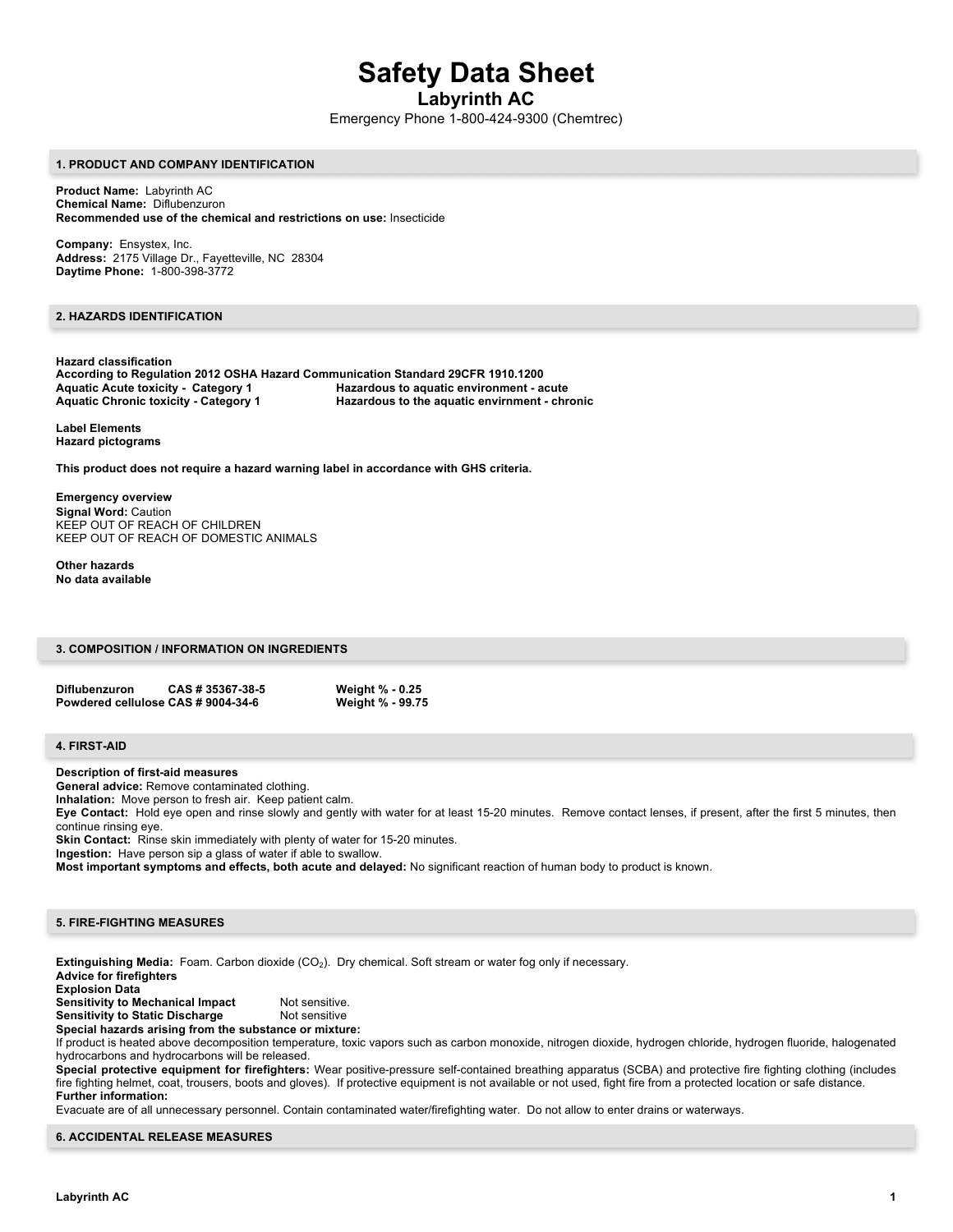# **Safety Data Sheet**

**Labyrinth AC**

Emergency Phone 1-800-424-9300 (Chemtrec)

#### **1. PRODUCT AND COMPANY IDENTIFICATION**

**Product Name:** Labyrinth AC **Chemical Name:** Diflubenzuron **Recommended use of the chemical and restrictions on use:** Insecticide

**Company:** Ensystex, Inc. **Address:** 2175 Village Dr., Fayetteville, NC 28304 **Daytime Phone:** 1-800-398-3772

## **2. HAZARDS IDENTIFICATION**

**Hazard classification According to Regulation 2012 OSHA Hazard Communication Standard 29CFR 1910.1200 Aquatic Acute toxicity - Category 1 Hazardous to aquatic environment - acute Aquatic Chronic toxicity - Category 1 Hazardous to the aquatic envirnment - chronic**

**Label Elements Hazard pictograms**

**This product does not require a hazard warning label in accordance with GHS criteria.**

**Emergency overview Signal Word:** Caution KEEP OUT OF REACH OF CHILDREN KEEP OUT OF REACH OF DOMESTIC ANIMALS

**Other hazards No data available**

## **3. COMPOSITION / INFORMATION ON INGREDIENTS**

| <b>Diflubenzuron</b>               | CAS # 35367-38-5 | <b>Weight % - 0.25</b> |
|------------------------------------|------------------|------------------------|
| Powdered cellulose CAS # 9004-34-6 |                  | Weight % - 99.75       |

#### **4. FIRST-AID**

**Description of first-aid measures**

**General advice:** Remove contaminated clothing.

**Inhalation:** Move person to fresh air. Keep patient calm.

**Eye Contact:** Hold eye open and rinse slowly and gently with water for at least 15-20 minutes. Remove contact lenses, if present, after the first 5 minutes, then continue rinsing eye.

**Skin Contact:** Rinse skin immediately with plenty of water for 15-20 minutes.

**Ingestion:** Have person sip a glass of water if able to swallow.

**Most important symptoms and effects, both acute and delayed:** No significant reaction of human body to product is known.

## **5. FIRE-FIGHTING MEASURES**

**Extinguishing Media:** Foam. Carbon dioxide (CO<sub>2</sub>). Dry chemical. Soft stream or water fog only if necessary. **Advice for firefighters Explosion Data Sensitivity to Mechanical Impact** Not sensitive. **Sensitivity to Static Discharge Mot sensitive Special hazards arising from the substance or mixture:**  If product is heated above decomposition temperature, toxic vapors such as carbon monoxide, nitrogen dioxide, hydrogen chloride, hydrogen fluoride, halogenated hydrocarbons and hydrocarbons will be released. **Special protective equipment for firefighters:** Wear positive-pressure self-contained breathing apparatus (SCBA) and protective fire fighting clothing (includes fire fighting helmet, coat, trousers, boots and gloves). If protective equipment is not available or not used, fight fire from a protected location or safe distance. **Further information:**

Evacuate are of all unnecessary personnel. Contain contaminated water/firefighting water. Do not allow to enter drains or waterways.

#### **6. ACCIDENTAL RELEASE MEASURES**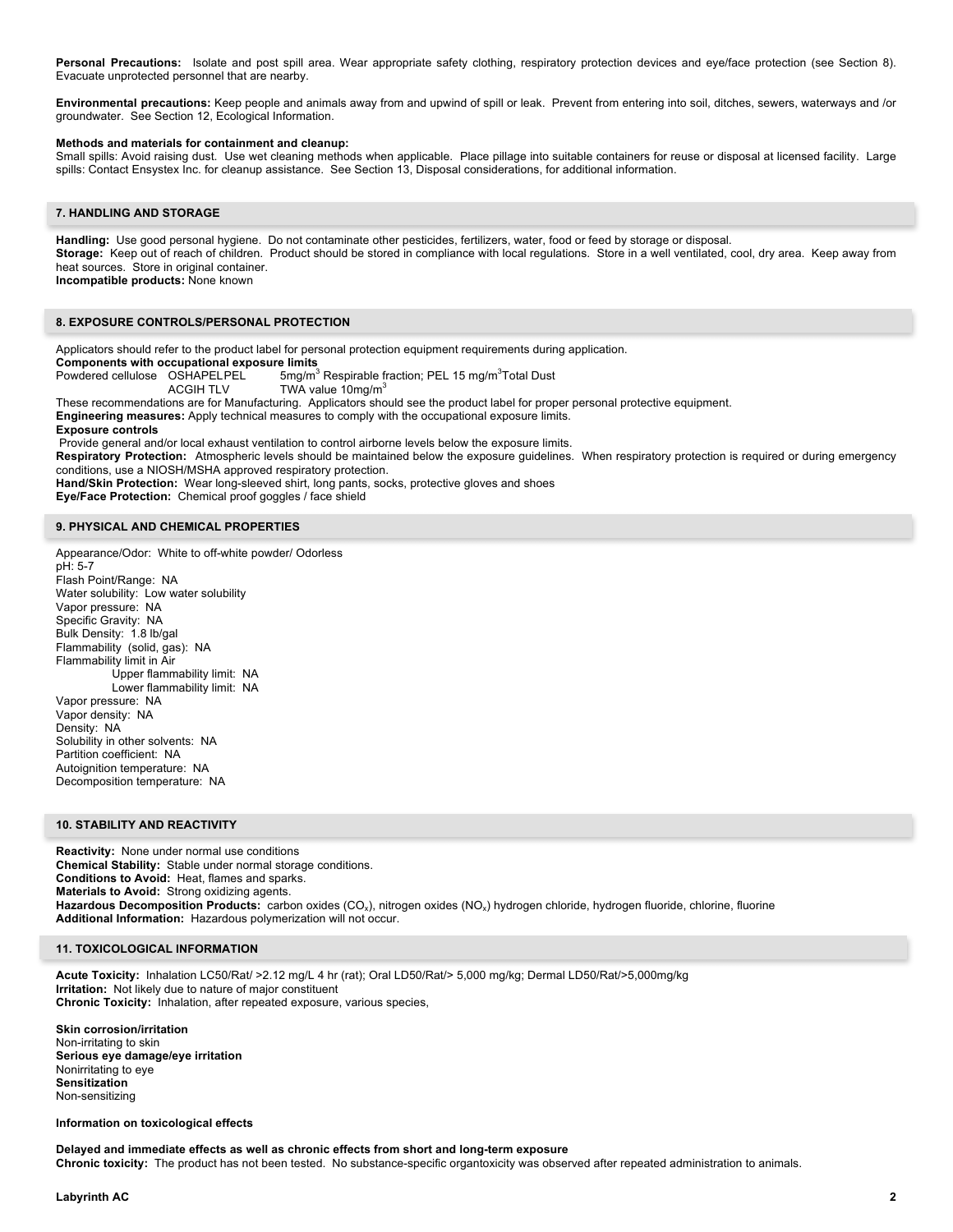Personal Precautions: Isolate and post spill area. Wear appropriate safety clothing, respiratory protection devices and eye/face protection (see Section 8). Evacuate unprotected personnel that are nearby.

**Environmental precautions:** Keep people and animals away from and upwind of spill or leak. Prevent from entering into soil, ditches, sewers, waterways and /or groundwater. See Section 12, Ecological Information.

## **Methods and materials for containment and cleanup:**

Small spills: Avoid raising dust. Use wet cleaning methods when applicable. Place pillage into suitable containers for reuse or disposal at licensed facility. Large spills: Contact Ensystex Inc. for cleanup assistance. See Section 13, Disposal considerations, for additional information.

## **7. HANDLING AND STORAGE**

**Handling:** Use good personal hygiene. Do not contaminate other pesticides, fertilizers, water, food or feed by storage or disposal. **Storage:** Keep out of reach of children. Product should be stored in compliance with local regulations. Store in a well ventilated, cool, dry area. Keep away from heat sources. Store in original container. **Incompatible products:** None known

#### **8. EXPOSURE CONTROLS/PERSONAL PROTECTION**

Applicators should refer to the product label for personal protection equipment requirements during application.

**Components with occupational exposure limits**

Powdered cellulose OSHAPELPEL 5mg/m<sup>3</sup> Respirable fraction; PEL 15 mg/m<sup>3</sup>Total Dust ACGIH TLV TWA value 10mg/m<sup>3</sup>

These recommendations are for Manufacturing. Applicators should see the product label for proper personal protective equipment.

**Engineering measures:** Apply technical measures to comply with the occupational exposure limits.

#### **Exposure controls**

Provide general and/or local exhaust ventilation to control airborne levels below the exposure limits.

**Respiratory Protection:** Atmospheric levels should be maintained below the exposure guidelines. When respiratory protection is required or during emergency conditions, use a NIOSH/MSHA approved respiratory protection.

**Hand/Skin Protection:** Wear long-sleeved shirt, long pants, socks, protective gloves and shoes

**Eye/Face Protection:** Chemical proof goggles / face shield

#### **9. PHYSICAL AND CHEMICAL PROPERTIES**

Appearance/Odor: White to off-white powder/ Odorless pH: 5-7 Flash Point/Range: NA Water solubility: Low water solubility Vapor pressure: NA Specific Gravity: NA Bulk Density: 1.8 lb/gal Flammability (solid, gas): NA Flammability limit in Air Upper flammability limit: NA Lower flammability limit: NA Vapor pressure: NA Vapor density: NA Density: NA Solubility in other solvents: NA Partition coefficient: NA Autoignition temperature: NA Decomposition temperature: NA

## **10. STABILITY AND REACTIVITY**

**Reactivity:** None under normal use conditions **Chemical Stability:** Stable under normal storage conditions. **Conditions to Avoid:** Heat, flames and sparks. **Materials to Avoid:** Strong oxidizing agents. Hazardous Decomposition Products: carbon oxides (CO<sub>x</sub>), nitrogen oxides (NO<sub>x</sub>) hydrogen chloride, hydrogen fluoride, chlorine, fluorine **Additional Information:** Hazardous polymerization will not occur.

#### **11. TOXICOLOGICAL INFORMATION**

**Acute Toxicity:** Inhalation LC50/Rat/ >2.12 mg/L 4 hr (rat); Oral LD50/Rat/> 5,000 mg/kg; Dermal LD50/Rat/>5,000mg/kg **Irritation:** Not likely due to nature of major constituent **Chronic Toxicity:** Inhalation, after repeated exposure, various species,

**Skin corrosion/irritation** Non-irritating to skin **Serious eye damage/eye irritation** Nonirritating to eye **Sensitization** Non-sensitizing

#### **Information on toxicological effects**

**Delayed and immediate effects as well as chronic effects from short and long-term exposure Chronic toxicity:** The product has not been tested. No substance-specific organtoxicity was observed after repeated administration to animals.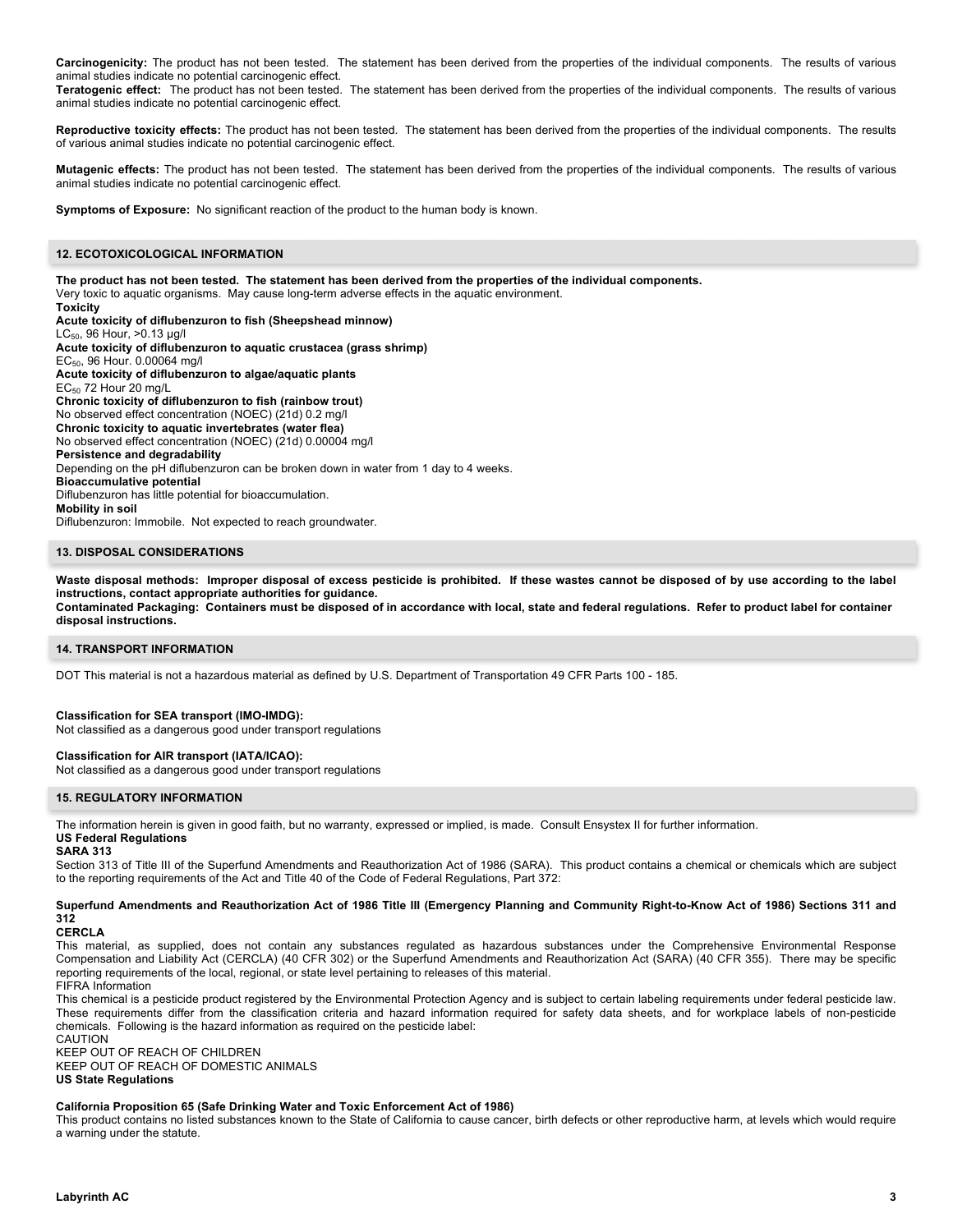**Carcinogenicity:** The product has not been tested. The statement has been derived from the properties of the individual components. The results of various animal studies indicate no potential carcinogenic effect.

**Teratogenic effect:** The product has not been tested. The statement has been derived from the properties of the individual components. The results of various animal studies indicate no potential carcinogenic effect.

**Reproductive toxicity effects:** The product has not been tested. The statement has been derived from the properties of the individual components. The results of various animal studies indicate no potential carcinogenic effect.

**Mutagenic effects:** The product has not been tested. The statement has been derived from the properties of the individual components. The results of various animal studies indicate no potential carcinogenic effect.

**Symptoms of Exposure:** No significant reaction of the product to the human body is known.

## **12. ECOTOXICOLOGICAL INFORMATION**

**The product has not been tested. The statement has been derived from the properties of the individual components.**  Very toxic to aquatic organisms. May cause long-term adverse effects in the aquatic environment. **Toxicity Acute toxicity of diflubenzuron to fish (Sheepshead minnow)** LC50, 96 Hour, >0.13 µg/l **Acute toxicity of diflubenzuron to aquatic crustacea (grass shrimp)** EC50, 96 Hour. 0.00064 mg/l **Acute toxicity of diflubenzuron to algae/aquatic plants**  $EC_{50}$  72 Hour 20 mg/L **Chronic toxicity of diflubenzuron to fish (rainbow trout)** No observed effect concentration (NOEC) (21d) 0.2 mg/l **Chronic toxicity to aquatic invertebrates (water flea)** No observed effect concentration (NOEC) (21d) 0.00004 mg/l **Persistence and degradability** Depending on the pH diflubenzuron can be broken down in water from 1 day to 4 weeks. **Bioaccumulative potential** Diflubenzuron has little potential for bioaccumulation. **Mobility in soil** Diflubenzuron: Immobile. Not expected to reach groundwater.

## **13. DISPOSAL CONSIDERATIONS**

**Waste disposal methods: Improper disposal of excess pesticide is prohibited. If these wastes cannot be disposed of by use according to the label instructions, contact appropriate authorities for guidance.**

**Contaminated Packaging: Containers must be disposed of in accordance with local, state and federal regulations. Refer to product label for container disposal instructions.**

#### **14. TRANSPORT INFORMATION**

DOT This material is not a hazardous material as defined by U.S. Department of Transportation 49 CFR Parts 100 - 185.

## **Classification for SEA transport (IMO-IMDG):**

Not classified as a dangerous good under transport regulations

#### **Classification for AIR transport (IATA/ICAO):**

Not classified as a dangerous good under transport regulations

## **15. REGULATORY INFORMATION**

The information herein is given in good faith, but no warranty, expressed or implied, is made. Consult Ensystex II for further information.

#### **US Federal Regulations SARA 313**

Section 313 of Title III of the Superfund Amendments and Reauthorization Act of 1986 (SARA). This product contains a chemical or chemicals which are subject to the reporting requirements of the Act and Title 40 of the Code of Federal Regulations, Part 372:

## **Superfund Amendments and Reauthorization Act of 1986 Title III (Emergency Planning and Community Right-to-Know Act of 1986) Sections 311 and 312**

**CERCLA**

This material, as supplied, does not contain any substances regulated as hazardous substances under the Comprehensive Environmental Response Compensation and Liability Act (CERCLA) (40 CFR 302) or the Superfund Amendments and Reauthorization Act (SARA) (40 CFR 355). There may be specific reporting requirements of the local, regional, or state level pertaining to releases of this material. FIFRA Information

This chemical is a pesticide product registered by the Environmental Protection Agency and is subject to certain labeling requirements under federal pesticide law. These requirements differ from the classification criteria and hazard information required for safety data sheets, and for workplace labels of non-pesticide chemicals. Following is the hazard information as required on the pesticide label: CAUTION

KEEP OUT OF REACH OF CHILDREN

KEEP OUT OF REACH OF DOMESTIC ANIMALS

#### **US State Regulations**

## **California Proposition 65 (Safe Drinking Water and Toxic Enforcement Act of 1986)**

This product contains no listed substances known to the State of California to cause cancer, birth defects or other reproductive harm, at levels which would require a warning under the statute.